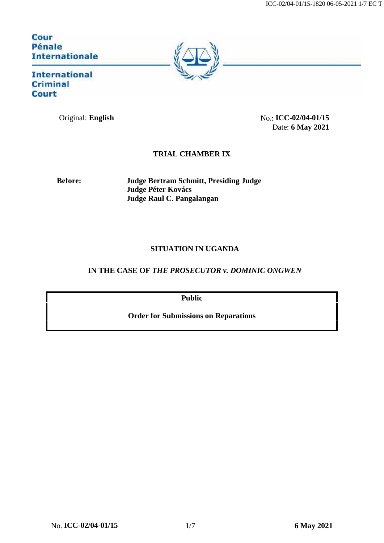Cour Pénale **Internationale** 



**International Criminal Court** 

Original: **English** No.: **ICC-02/04-01/15** Date: **6 May 2021**

## **TRIAL CHAMBER IX**

**Before: Judge Bertram Schmitt, Presiding Judge Judge Péter Kovács Judge Raul C. Pangalangan**

## **SITUATION IN UGANDA**

## **IN THE CASE OF** *THE PROSECUTOR v. DOMINIC ONGWEN*

**Public**

**Order for Submissions on Reparations**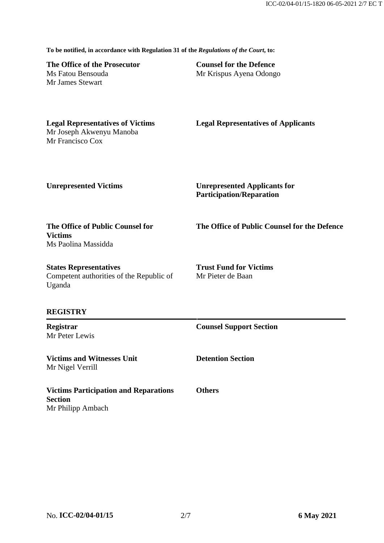**To be notified, in accordance with Regulation 31 of the** *Regulations of the Court***, to:**

**The Office of the Prosecutor** Ms Fatou Bensouda Mr James Stewart

**Counsel for the Defence** Mr Krispus Ayena Odongo

**Legal Representatives of Victims** Mr Joseph Akwenyu Manoba Mr Francisco Cox

**Legal Representatives of Applicants**

**Unrepresented Victims Unrepresented Applicants for Participation/Reparation**

**The Office of Public Counsel for Victims** Ms Paolina Massidda

**The Office of Public Counsel for the Defence**

**States Representatives** Competent authorities of the Republic of Uganda

**REGISTRY**

**Registrar** Mr Peter Lewis

**Victims and Witnesses Unit** Mr Nigel Verrill

**Counsel Support Section**

**Trust Fund for Victims**

Mr Pieter de Baan

**Detention Section**

**Victims Participation and Reparations Section** Mr Philipp Ambach

**Others**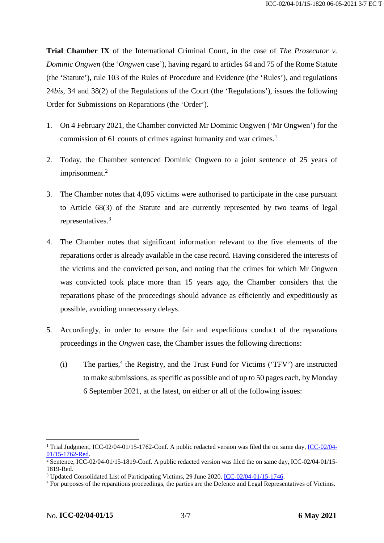**Trial Chamber IX** of the International Criminal Court, in the case of *The Prosecutor v. Dominic Ongwen* (the '*Ongwen* case'), having regard to articles 64 and 75 of the Rome Statute (the 'Statute'), rule 103 of the Rules of Procedure and Evidence (the 'Rules'), and regulations 24*bis*, 34 and 38(2) of the Regulations of the Court (the 'Regulations'), issues the following Order for Submissions on Reparations (the 'Order').

- 1. On 4 February 2021, the Chamber convicted Mr Dominic Ongwen ('Mr Ongwen') for the commission of 61 counts of crimes against humanity and war crimes.<sup>1</sup>
- 2. Today, the Chamber sentenced Dominic Ongwen to a joint sentence of 25 years of imprisonment.<sup>2</sup>
- 3. The Chamber notes that 4,095 victims were authorised to participate in the case pursuant to Article 68(3) of the Statute and are currently represented by two teams of legal representatives.<sup>3</sup>
- 4. The Chamber notes that significant information relevant to the five elements of the reparations order is already available in the case record. Having considered the interests of the victims and the convicted person, and noting that the crimes for which Mr Ongwen was convicted took place more than 15 years ago, the Chamber considers that the reparations phase of the proceedings should advance as efficiently and expeditiously as possible, avoiding unnecessary delays.
- <span id="page-2-0"></span>5. Accordingly, in order to ensure the fair and expeditious conduct of the reparations proceedings in the *Ongwen* case, the Chamber issues the following directions:
	- (i) The parties,<sup>4</sup> the Registry, and the Trust Fund for Victims ('TFV') are instructed to make submissions, as specific as possible and of up to 50 pages each, by Monday 6 September 2021, at the latest, on either or all of the following issues:

<sup>&</sup>lt;sup>1</sup> Trial Judgment, [ICC-02/04-](https://www.icc-cpi.int/CourtRecords/CR2021_01026.PDF)01/15-1762-Conf. A public redacted version was filed the on same day, ICC-02/04-[01/15-1762-Red](https://www.icc-cpi.int/CourtRecords/CR2021_01026.PDF).

<sup>&</sup>lt;sup>2</sup> Sentence, ICC-02/04-01/15-1819-Conf. A public redacted version was filed the on same day, ICC-02/04-01/15-1819-Red.

<sup>&</sup>lt;sup>3</sup> Updated Consolidated List of Participating Victims, 29 June 2020, [ICC-02/04-01/15-1746](https://www.icc-cpi.int/CourtRecords/CR2020_02847.PDF).

<sup>4</sup> For purposes of the reparations proceedings, the parties are the Defence and Legal Representatives of Victims.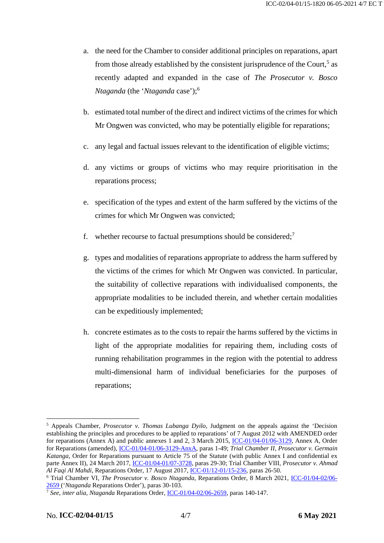- a. the need for the Chamber to consider additional principles on reparations, apart from those already established by the consistent jurisprudence of the Court,<sup>5</sup> as recently adapted and expanded in the case of *The Prosecutor v. Bosco Ntaganda* (the '*Ntaganda* case');<sup>6</sup>
- b. estimated total number of the direct and indirect victims of the crimes for which Mr Ongwen was convicted, who may be potentially eligible for reparations;
- c. any legal and factual issues relevant to the identification of eligible victims;
- d. any victims or groups of victims who may require prioritisation in the reparations process;
- e. specification of the types and extent of the harm suffered by the victims of the crimes for which Mr Ongwen was convicted;
- f. whether recourse to factual presumptions should be considered;<sup>7</sup>
- g. types and modalities of reparations appropriate to address the harm suffered by the victims of the crimes for which Mr Ongwen was convicted. In particular, the suitability of collective reparations with individualised components, the appropriate modalities to be included therein, and whether certain modalities can be expeditiously implemented;
- h. concrete estimates as to the costs to repair the harms suffered by the victims in light of the appropriate modalities for repairing them, including costs of running rehabilitation programmes in the region with the potential to address multi-dimensional harm of individual beneficiaries for the purposes of reparations;

<sup>5</sup> Appeals Chamber, *Prosecutor v. Thomas Lubanga Dyilo*, Judgment on the appeals against the 'Decision establishing the principles and procedures to be applied to reparations' of 7 August 2012 with AMENDED order for reparations (Annex A) and public annexes 1 and 2, 3 March 2015, [ICC-01/04-01/06-3129](https://www.icc-cpi.int/CourtRecords/CR2015_02631.PDF), Annex A, Order for Reparations (amended), [ICC-01/04-01/06-3129-AnxA](https://www.icc-cpi.int/RelatedRecords/CR2015_02633.PDF), paras 1-49; *Trial Chamber II, Prosecutor v. Germain Katanga,* Order for Reparations pursuant to Article 75 of the Statute (with public Annex I and confidential ex parte Annex II), 24 March 2017, [ICC-01/04-01/07-3728](https://www.icc-cpi.int/CourtRecords/CR2017_05121.PDF), paras 29-30; Trial Chamber VIII*, Prosecutor v. Ahmad Al Faqi Al Mahdi,* Reparations Order, 17 August 2017, [ICC-01/12-01/15-236](https://www.icc-cpi.int/CourtRecords/CR2017_05117.PDF), paras 26-50.

<sup>6</sup> Trial Chamber VI, *The Prosecutor v. Bosco Ntaganda*, Reparations Order, 8 March 2021, [ICC-01/04-02/06-](https://www.icc-cpi.int/CourtRecords/CR2021_01889.PDF) [2659](https://www.icc-cpi.int/CourtRecords/CR2021_01889.PDF) ('*Ntaganda* Reparations Order'), paras 30-103.

<sup>7</sup> *See*, *inter alia*, *Ntaganda* Reparations Order, [ICC-01/04-02/06-2659](https://www.icc-cpi.int/CourtRecords/CR2021_01889.PDF), paras 140-147.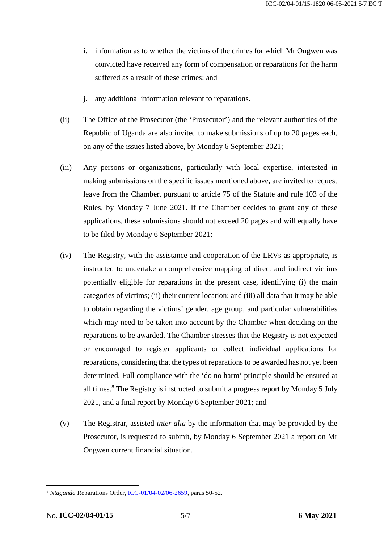- i. information as to whether the victims of the crimes for which Mr Ongwen was convicted have received any form of compensation or reparations for the harm suffered as a result of these crimes; and
- j. any additional information relevant to reparations.
- (ii) The Office of the Prosecutor (the 'Prosecutor') and the relevant authorities of the Republic of Uganda are also invited to make submissions of up to 20 pages each, on any of the issues listed above, by Monday 6 September 2021;
- (iii) Any persons or organizations, particularly with local expertise, interested in making submissions on the specific issues mentioned above, are invited to request leave from the Chamber, pursuant to article 75 of the Statute and rule 103 of the Rules, by Monday 7 June 2021. If the Chamber decides to grant any of these applications, these submissions should not exceed 20 pages and will equally have to be filed by Monday 6 September 2021;
- (iv) The Registry, with the assistance and cooperation of the LRVs as appropriate, is instructed to undertake a comprehensive mapping of direct and indirect victims potentially eligible for reparations in the present case, identifying (i) the main categories of victims; (ii) their current location; and (iii) all data that it may be able to obtain regarding the victims' gender, age group, and particular vulnerabilities which may need to be taken into account by the Chamber when deciding on the reparations to be awarded. The Chamber stresses that the Registry is not expected or encouraged to register applicants or collect individual applications for reparations, considering that the types of reparations to be awarded has not yet been determined. Full compliance with the 'do no harm' principle should be ensured at all times.<sup>8</sup> The Registry is instructed to submit a progress report by Monday 5 July 2021, and a final report by Monday 6 September 2021; and
- (v) The Registrar, assisted *inter alia* by the information that may be provided by the Prosecutor, is requested to submit, by Monday 6 September 2021 a report on Mr Ongwen current financial situation.

<sup>8</sup> *Ntaganda* Reparations Order, [ICC-01/04-02/06-2659](https://www.icc-cpi.int/CourtRecords/CR2021_01889.PDF), paras 50-52.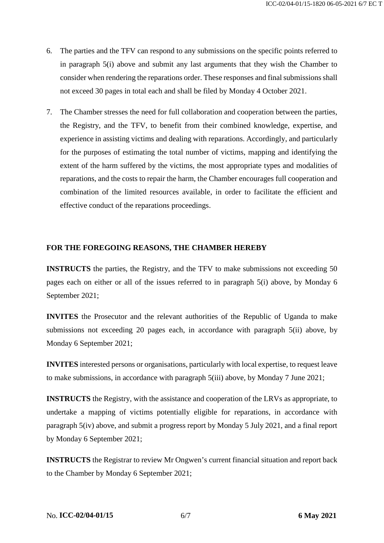- 6. The parties and the TFV can respond to any submissions on the specific points referred to in paragraph 5(i) above and submit any last arguments that they wish the Chamber to consider when rendering the reparations order. These responses and final submissions shall not exceed 30 pages in total each and shall be filed by Monday 4 October 2021.
- 7. The Chamber stresses the need for full collaboration and cooperation between the parties, the Registry, and the TFV, to benefit from their combined knowledge, expertise, and experience in assisting victims and dealing with reparations. Accordingly, and particularly for the purposes of estimating the total number of victims, mapping and identifying the extent of the harm suffered by the victims, the most appropriate types and modalities of reparations, and the costs to repair the harm, the Chamber encourages full cooperation and combination of the limited resources available, in order to facilitate the efficient and effective conduct of the reparations proceedings.

## **FOR THE FOREGOING REASONS, THE CHAMBER HEREBY**

**INSTRUCTS** the parties, the Registry, and the TFV to make submissions not exceeding 50 pages each on either or all of the issues referred to in paragraph [5\(i\)](#page-2-0) above, by Monday 6 September 2021;

**INVITES** the Prosecutor and the relevant authorities of the Republic of Uganda to make submissions not exceeding 20 pages each, in accordance with paragraph 5(ii) above, by Monday 6 September 2021;

**INVITES** interested persons or organisations, particularly with local expertise, to request leave to make submissions, in accordance with paragraph 5(iii) above, by Monday 7 June 2021;

**INSTRUCTS** the Registry, with the assistance and cooperation of the LRVs as appropriate, to undertake a mapping of victims potentially eligible for reparations, in accordance with paragraph 5(iv) above, and submit a progress report by Monday 5 July 2021, and a final report by Monday 6 September 2021;

**INSTRUCTS** the Registrar to review Mr Ongwen's current financial situation and report back to the Chamber by Monday 6 September 2021;